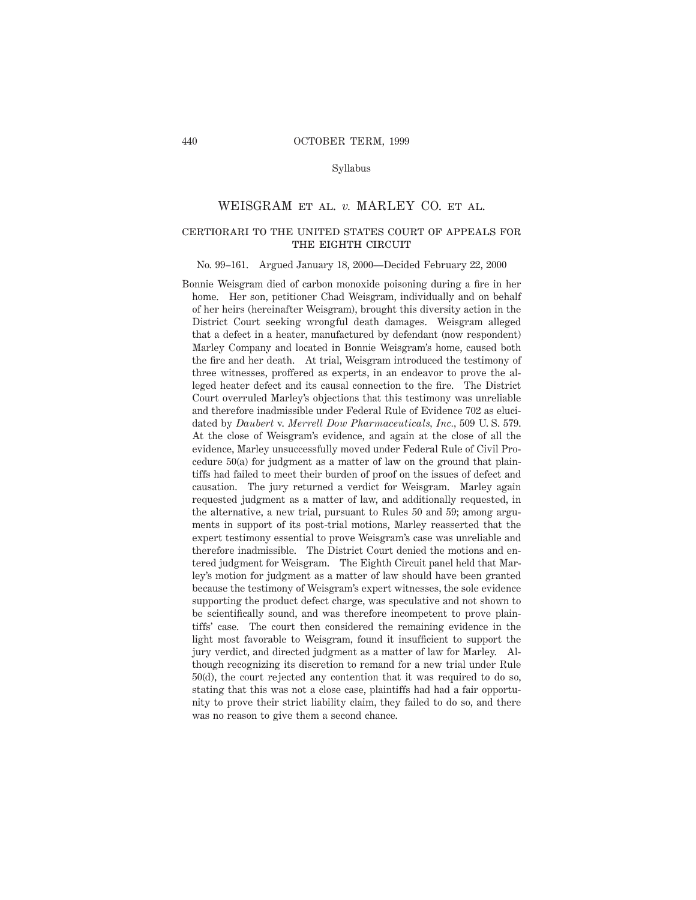## Syllabus

## WEISGRAM et al. *v.* MARLEY CO. et al.

# certiorari to the united states court of appeals for the eighth circuit

#### No. 99–161. Argued January 18, 2000—Decided February 22, 2000

Bonnie Weisgram died of carbon monoxide poisoning during a fire in her home. Her son, petitioner Chad Weisgram, individually and on behalf of her heirs (hereinafter Weisgram), brought this diversity action in the District Court seeking wrongful death damages. Weisgram alleged that a defect in a heater, manufactured by defendant (now respondent) Marley Company and located in Bonnie Weisgram's home, caused both the fire and her death. At trial, Weisgram introduced the testimony of three witnesses, proffered as experts, in an endeavor to prove the alleged heater defect and its causal connection to the fire. The District Court overruled Marley's objections that this testimony was unreliable and therefore inadmissible under Federal Rule of Evidence 702 as elucidated by *Daubert* v. *Merrell Dow Pharmaceuticals, Inc.,* 509 U. S. 579. At the close of Weisgram's evidence, and again at the close of all the evidence, Marley unsuccessfully moved under Federal Rule of Civil Procedure 50(a) for judgment as a matter of law on the ground that plaintiffs had failed to meet their burden of proof on the issues of defect and causation. The jury returned a verdict for Weisgram. Marley again requested judgment as a matter of law, and additionally requested, in the alternative, a new trial, pursuant to Rules 50 and 59; among arguments in support of its post-trial motions, Marley reasserted that the expert testimony essential to prove Weisgram's case was unreliable and therefore inadmissible. The District Court denied the motions and entered judgment for Weisgram. The Eighth Circuit panel held that Marley's motion for judgment as a matter of law should have been granted because the testimony of Weisgram's expert witnesses, the sole evidence supporting the product defect charge, was speculative and not shown to be scientifically sound, and was therefore incompetent to prove plaintiffs' case. The court then considered the remaining evidence in the light most favorable to Weisgram, found it insufficient to support the jury verdict, and directed judgment as a matter of law for Marley. Although recognizing its discretion to remand for a new trial under Rule 50(d), the court rejected any contention that it was required to do so, stating that this was not a close case, plaintiffs had had a fair opportunity to prove their strict liability claim, they failed to do so, and there was no reason to give them a second chance.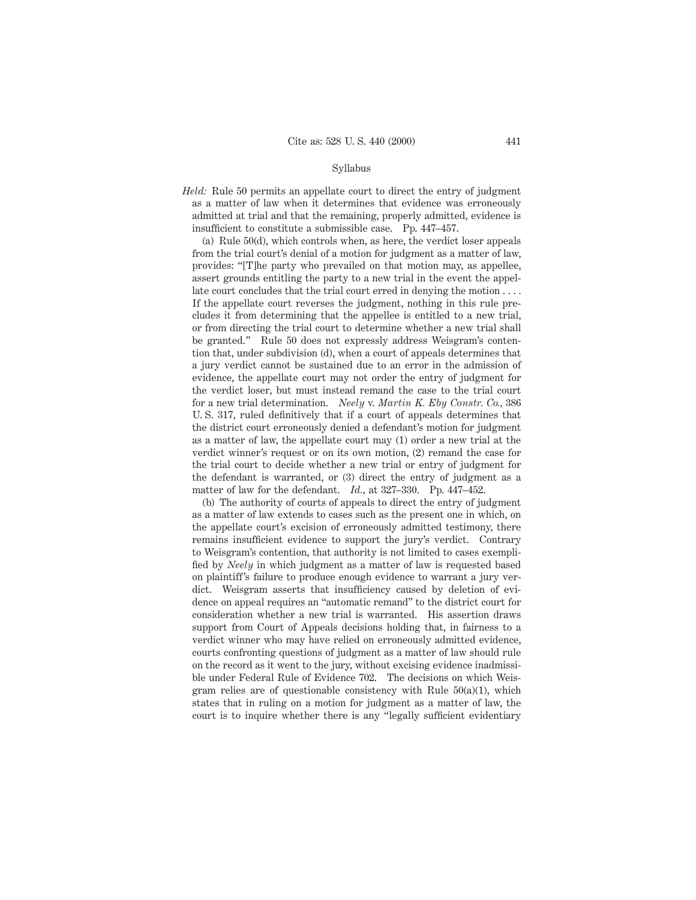## Syllabus

*Held:* Rule 50 permits an appellate court to direct the entry of judgment as a matter of law when it determines that evidence was erroneously admitted at trial and that the remaining, properly admitted, evidence is insufficient to constitute a submissible case. Pp. 447–457.

(a) Rule 50(d), which controls when, as here, the verdict loser appeals from the trial court's denial of a motion for judgment as a matter of law, provides: "[T]he party who prevailed on that motion may, as appellee, assert grounds entitling the party to a new trial in the event the appellate court concludes that the trial court erred in denying the motion  $\dots$ If the appellate court reverses the judgment, nothing in this rule precludes it from determining that the appellee is entitled to a new trial, or from directing the trial court to determine whether a new trial shall be granted." Rule 50 does not expressly address Weisgram's contention that, under subdivision (d), when a court of appeals determines that a jury verdict cannot be sustained due to an error in the admission of evidence, the appellate court may not order the entry of judgment for the verdict loser, but must instead remand the case to the trial court for a new trial determination. *Neely* v. *Martin K. Eby Constr. Co.,* 386 U. S. 317, ruled definitively that if a court of appeals determines that the district court erroneously denied a defendant's motion for judgment as a matter of law, the appellate court may (1) order a new trial at the verdict winner's request or on its own motion, (2) remand the case for the trial court to decide whether a new trial or entry of judgment for the defendant is warranted, or (3) direct the entry of judgment as a matter of law for the defendant. *Id.,* at 327–330. Pp. 447–452.

(b) The authority of courts of appeals to direct the entry of judgment as a matter of law extends to cases such as the present one in which, on the appellate court's excision of erroneously admitted testimony, there remains insufficient evidence to support the jury's verdict. Contrary to Weisgram's contention, that authority is not limited to cases exemplified by *Neely* in which judgment as a matter of law is requested based on plaintiff's failure to produce enough evidence to warrant a jury verdict. Weisgram asserts that insufficiency caused by deletion of evidence on appeal requires an "automatic remand" to the district court for consideration whether a new trial is warranted. His assertion draws support from Court of Appeals decisions holding that, in fairness to a verdict winner who may have relied on erroneously admitted evidence, courts confronting questions of judgment as a matter of law should rule on the record as it went to the jury, without excising evidence inadmissible under Federal Rule of Evidence 702. The decisions on which Weisgram relies are of questionable consistency with Rule 50(a)(1), which states that in ruling on a motion for judgment as a matter of law, the court is to inquire whether there is any "legally sufficient evidentiary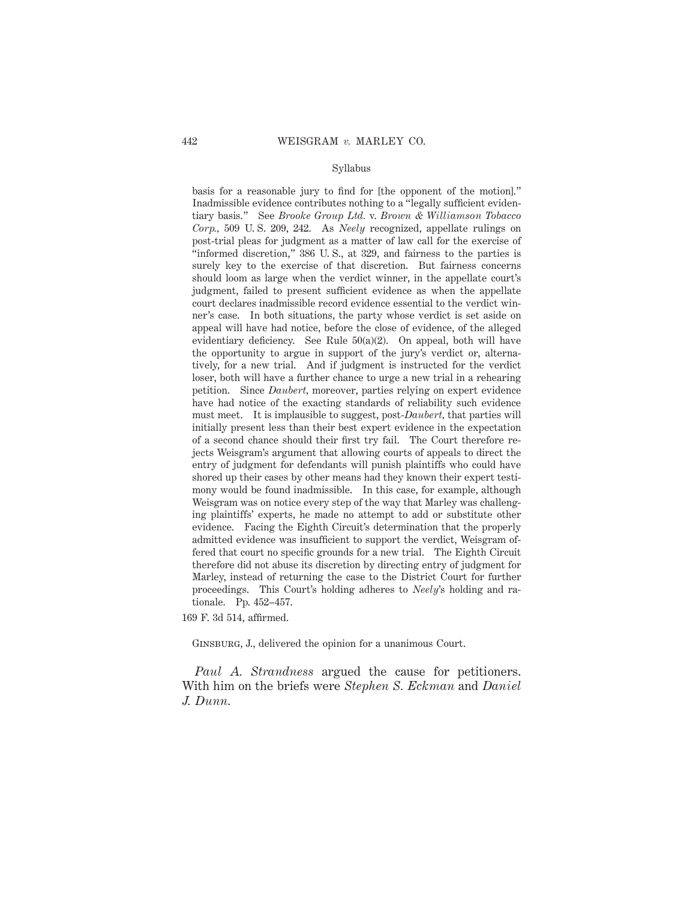## Syllabus

basis for a reasonable jury to find for [the opponent of the motion]." Inadmissible evidence contributes nothing to a "legally sufficient evidentiary basis." See *Brooke Group Ltd.* v. *Brown & Williamson Tobacco Corp.,* 509 U. S. 209, 242. As *Neely* recognized, appellate rulings on post-trial pleas for judgment as a matter of law call for the exercise of "informed discretion," 386 U. S., at 329, and fairness to the parties is surely key to the exercise of that discretion. But fairness concerns should loom as large when the verdict winner, in the appellate court's judgment, failed to present sufficient evidence as when the appellate court declares inadmissible record evidence essential to the verdict winner's case. In both situations, the party whose verdict is set aside on appeal will have had notice, before the close of evidence, of the alleged evidentiary deficiency. See Rule 50(a)(2). On appeal, both will have the opportunity to argue in support of the jury's verdict or, alternatively, for a new trial. And if judgment is instructed for the verdict loser, both will have a further chance to urge a new trial in a rehearing petition. Since *Daubert,* moreover, parties relying on expert evidence have had notice of the exacting standards of reliability such evidence must meet. It is implausible to suggest, post-*Daubert,* that parties will initially present less than their best expert evidence in the expectation of a second chance should their first try fail. The Court therefore rejects Weisgram's argument that allowing courts of appeals to direct the entry of judgment for defendants will punish plaintiffs who could have shored up their cases by other means had they known their expert testimony would be found inadmissible. In this case, for example, although Weisgram was on notice every step of the way that Marley was challenging plaintiffs' experts, he made no attempt to add or substitute other evidence. Facing the Eighth Circuit's determination that the properly admitted evidence was insufficient to support the verdict, Weisgram offered that court no specific grounds for a new trial. The Eighth Circuit therefore did not abuse its discretion by directing entry of judgment for Marley, instead of returning the case to the District Court for further proceedings. This Court's holding adheres to *Neely*'s holding and rationale. Pp. 452–457.

169 F. 3d 514, affirmed.

Ginsburg, J., delivered the opinion for a unanimous Court.

*Paul A. Strandness* argued the cause for petitioners. With him on the briefs were *Stephen S. Eckman* and *Daniel J. Dunn.*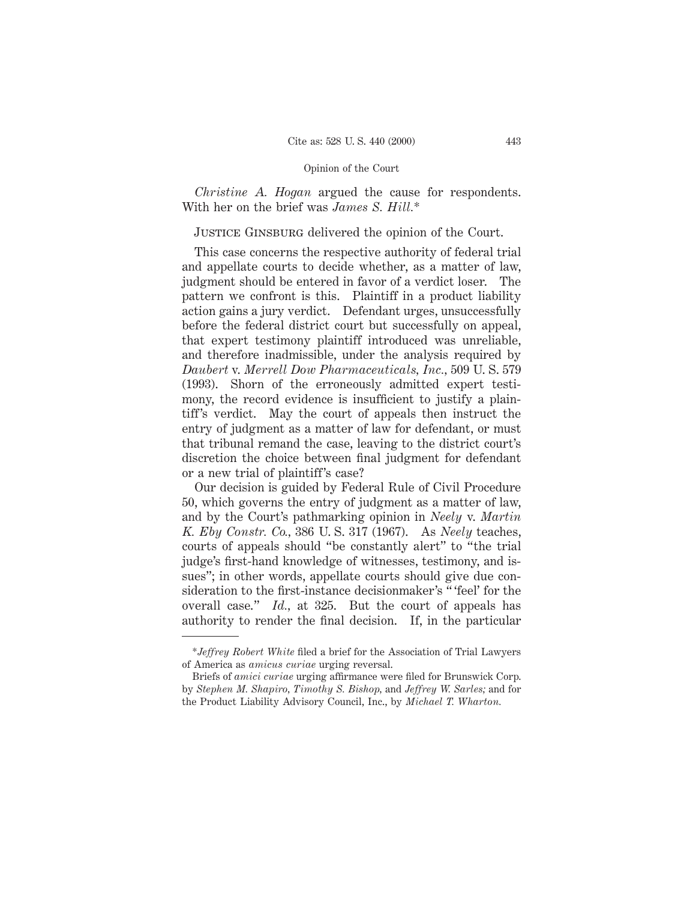*Christine A. Hogan* argued the cause for respondents. With her on the brief was *James S. Hill.*\*

# JUSTICE GINSBURG delivered the opinion of the Court.

This case concerns the respective authority of federal trial and appellate courts to decide whether, as a matter of law, judgment should be entered in favor of a verdict loser. The pattern we confront is this. Plaintiff in a product liability action gains a jury verdict. Defendant urges, unsuccessfully before the federal district court but successfully on appeal, that expert testimony plaintiff introduced was unreliable, and therefore inadmissible, under the analysis required by *Daubert* v. *Merrell Dow Pharmaceuticals, Inc.,* 509 U. S. 579 (1993). Shorn of the erroneously admitted expert testimony, the record evidence is insufficient to justify a plaintiff's verdict. May the court of appeals then instruct the entry of judgment as a matter of law for defendant, or must that tribunal remand the case, leaving to the district court's discretion the choice between final judgment for defendant or a new trial of plaintiff's case?

Our decision is guided by Federal Rule of Civil Procedure 50, which governs the entry of judgment as a matter of law, and by the Court's pathmarking opinion in *Neely* v. *Martin K. Eby Constr. Co.,* 386 U. S. 317 (1967). As *Neely* teaches, courts of appeals should "be constantly alert" to "the trial judge's first-hand knowledge of witnesses, testimony, and issues"; in other words, appellate courts should give due consideration to the first-instance decisionmaker's " 'feel' for the overall case." *Id.,* at 325. But the court of appeals has authority to render the final decision. If, in the particular

<sup>\*</sup>*Jeffrey Robert White* filed a brief for the Association of Trial Lawyers of America as *amicus curiae* urging reversal.

Briefs of *amici curiae* urging affirmance were filed for Brunswick Corp. by *Stephen M. Shapiro, Timothy S. Bishop,* and *Jeffrey W. Sarles;* and for the Product Liability Advisory Council, Inc., by *Michael T. Wharton.*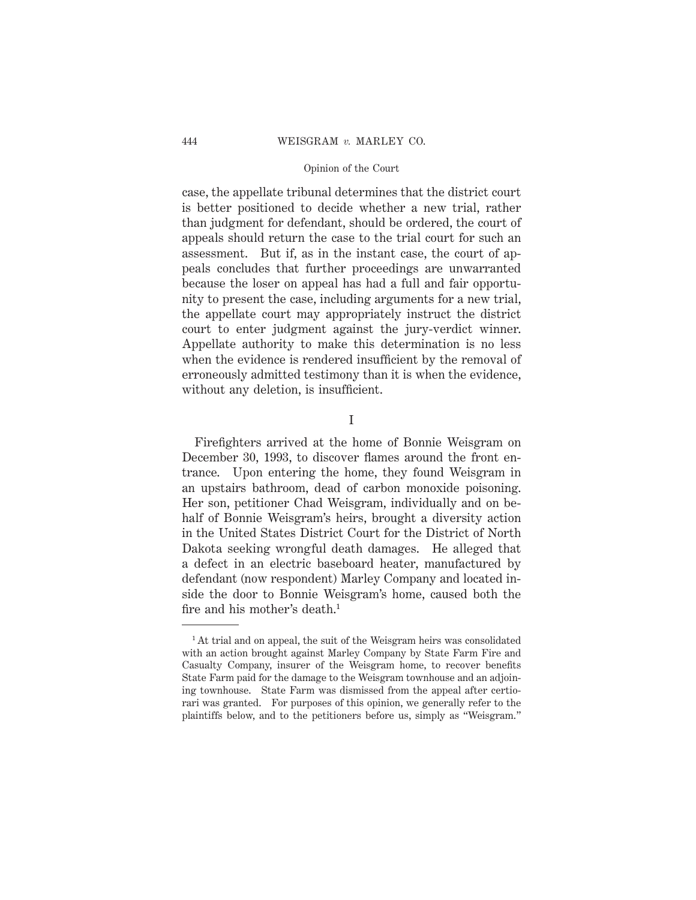case, the appellate tribunal determines that the district court is better positioned to decide whether a new trial, rather than judgment for defendant, should be ordered, the court of appeals should return the case to the trial court for such an assessment. But if, as in the instant case, the court of appeals concludes that further proceedings are unwarranted because the loser on appeal has had a full and fair opportunity to present the case, including arguments for a new trial, the appellate court may appropriately instruct the district court to enter judgment against the jury-verdict winner. Appellate authority to make this determination is no less when the evidence is rendered insufficient by the removal of erroneously admitted testimony than it is when the evidence, without any deletion, is insufficient.

I

Firefighters arrived at the home of Bonnie Weisgram on December 30, 1993, to discover flames around the front entrance. Upon entering the home, they found Weisgram in an upstairs bathroom, dead of carbon monoxide poisoning. Her son, petitioner Chad Weisgram, individually and on behalf of Bonnie Weisgram's heirs, brought a diversity action in the United States District Court for the District of North Dakota seeking wrongful death damages. He alleged that a defect in an electric baseboard heater, manufactured by defendant (now respondent) Marley Company and located inside the door to Bonnie Weisgram's home, caused both the fire and his mother's death.<sup>1</sup>

<sup>&</sup>lt;sup>1</sup> At trial and on appeal, the suit of the Weisgram heirs was consolidated with an action brought against Marley Company by State Farm Fire and Casualty Company, insurer of the Weisgram home, to recover benefits State Farm paid for the damage to the Weisgram townhouse and an adjoining townhouse. State Farm was dismissed from the appeal after certiorari was granted. For purposes of this opinion, we generally refer to the plaintiffs below, and to the petitioners before us, simply as "Weisgram."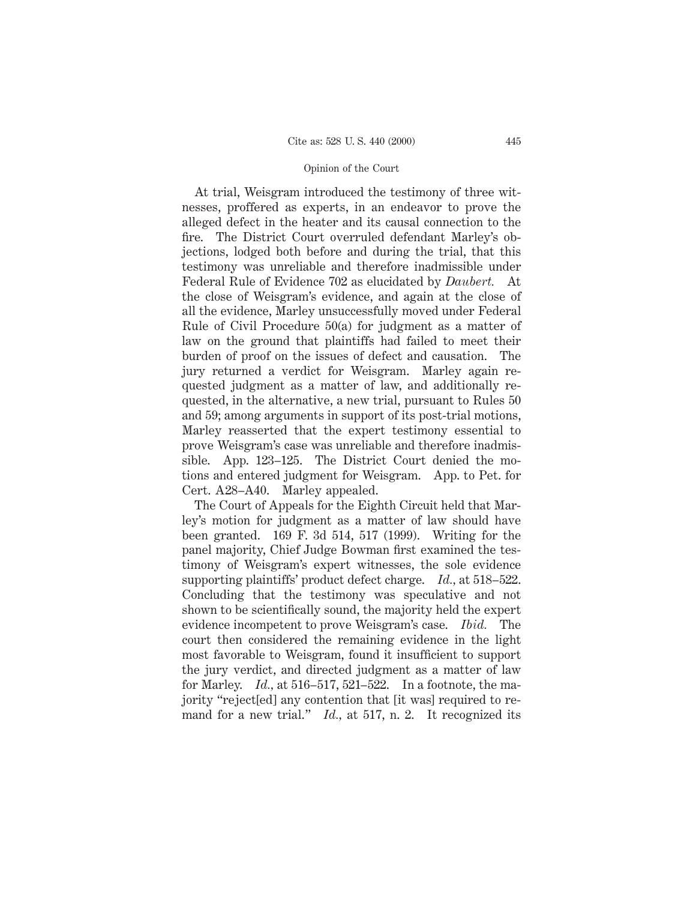At trial, Weisgram introduced the testimony of three witnesses, proffered as experts, in an endeavor to prove the alleged defect in the heater and its causal connection to the fire. The District Court overruled defendant Marley's objections, lodged both before and during the trial, that this testimony was unreliable and therefore inadmissible under Federal Rule of Evidence 702 as elucidated by *Daubert.* At the close of Weisgram's evidence, and again at the close of all the evidence, Marley unsuccessfully moved under Federal Rule of Civil Procedure 50(a) for judgment as a matter of law on the ground that plaintiffs had failed to meet their burden of proof on the issues of defect and causation. The jury returned a verdict for Weisgram. Marley again requested judgment as a matter of law, and additionally requested, in the alternative, a new trial, pursuant to Rules 50 and 59; among arguments in support of its post-trial motions, Marley reasserted that the expert testimony essential to prove Weisgram's case was unreliable and therefore inadmissible. App. 123–125. The District Court denied the motions and entered judgment for Weisgram. App. to Pet. for Cert. A28–A40. Marley appealed.

The Court of Appeals for the Eighth Circuit held that Marley's motion for judgment as a matter of law should have been granted. 169 F. 3d 514, 517 (1999). Writing for the panel majority, Chief Judge Bowman first examined the testimony of Weisgram's expert witnesses, the sole evidence supporting plaintiffs' product defect charge. *Id.,* at 518–522. Concluding that the testimony was speculative and not shown to be scientifically sound, the majority held the expert evidence incompetent to prove Weisgram's case. *Ibid.* The court then considered the remaining evidence in the light most favorable to Weisgram, found it insufficient to support the jury verdict, and directed judgment as a matter of law for Marley. *Id.,* at 516–517, 521–522. In a footnote, the majority "reject[ed] any contention that [it was] required to remand for a new trial." *Id.*, at 517, n. 2. It recognized its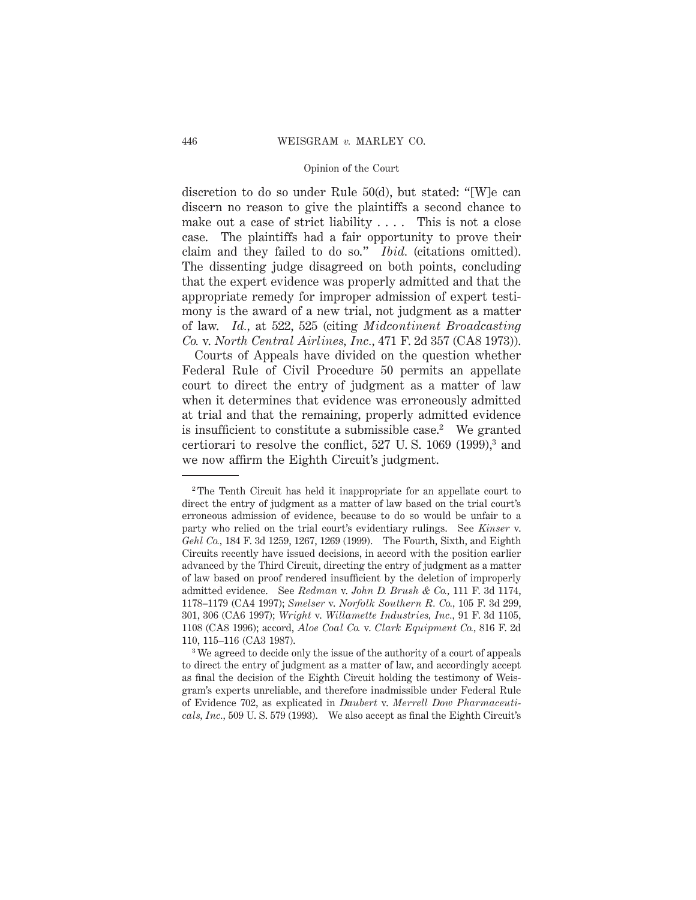discretion to do so under Rule 50(d), but stated: "[W]e can discern no reason to give the plaintiffs a second chance to make out a case of strict liability .... This is not a close case. The plaintiffs had a fair opportunity to prove their claim and they failed to do so." *Ibid.* (citations omitted). The dissenting judge disagreed on both points, concluding that the expert evidence was properly admitted and that the appropriate remedy for improper admission of expert testimony is the award of a new trial, not judgment as a matter of law. *Id.,* at 522, 525 (citing *Midcontinent Broadcasting Co.* v. *North Central Airlines, Inc.,* 471 F. 2d 357 (CA8 1973)).

Courts of Appeals have divided on the question whether Federal Rule of Civil Procedure 50 permits an appellate court to direct the entry of judgment as a matter of law when it determines that evidence was erroneously admitted at trial and that the remaining, properly admitted evidence is insufficient to constitute a submissible case.<sup>2</sup> We granted certiorari to resolve the conflict,  $527 \text{ U.S. } 1069 \text{ (1999)}^3$  and we now affirm the Eighth Circuit's judgment.

<sup>2</sup> The Tenth Circuit has held it inappropriate for an appellate court to direct the entry of judgment as a matter of law based on the trial court's erroneous admission of evidence, because to do so would be unfair to a party who relied on the trial court's evidentiary rulings. See *Kinser* v. *Gehl Co.,* 184 F. 3d 1259, 1267, 1269 (1999). The Fourth, Sixth, and Eighth Circuits recently have issued decisions, in accord with the position earlier advanced by the Third Circuit, directing the entry of judgment as a matter of law based on proof rendered insufficient by the deletion of improperly admitted evidence. See *Redman* v. *John D. Brush & Co.,* 111 F. 3d 1174, 1178–1179 (CA4 1997); *Smelser* v. *Norfolk Southern R. Co.,* 105 F. 3d 299, 301, 306 (CA6 1997); *Wright* v. *Willamette Industries, Inc.,* 91 F. 3d 1105, 1108 (CA8 1996); accord, *Aloe Coal Co.* v. *Clark Equipment Co.,* 816 F. 2d 110, 115–116 (CA3 1987).

<sup>&</sup>lt;sup>3</sup> We agreed to decide only the issue of the authority of a court of appeals to direct the entry of judgment as a matter of law, and accordingly accept as final the decision of the Eighth Circuit holding the testimony of Weisgram's experts unreliable, and therefore inadmissible under Federal Rule of Evidence 702, as explicated in *Daubert* v. *Merrell Dow Pharmaceuticals, Inc.,* 509 U. S. 579 (1993). We also accept as final the Eighth Circuit's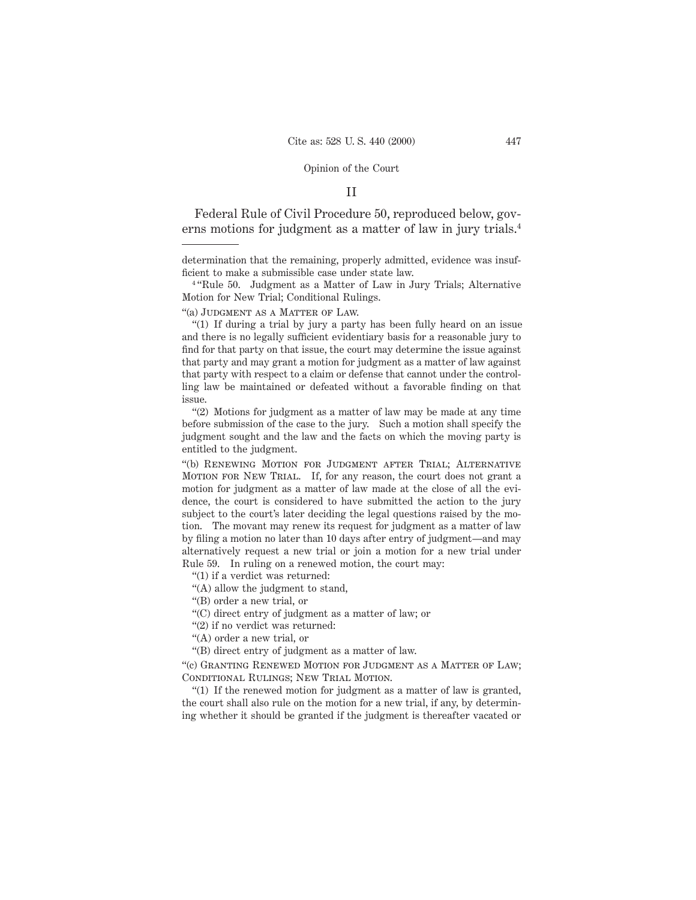## II

Federal Rule of Civil Procedure 50, reproduced below, governs motions for judgment as a matter of law in jury trials.4

<sup>4</sup> "Rule 50. Judgment as a Matter of Law in Jury Trials; Alternative Motion for New Trial; Conditional Rulings.

"(a) Judgment as a Matter of Law.

"(1) If during a trial by jury a party has been fully heard on an issue and there is no legally sufficient evidentiary basis for a reasonable jury to find for that party on that issue, the court may determine the issue against that party and may grant a motion for judgment as a matter of law against that party with respect to a claim or defense that cannot under the controlling law be maintained or defeated without a favorable finding on that issue.

"(2) Motions for judgment as a matter of law may be made at any time before submission of the case to the jury. Such a motion shall specify the judgment sought and the law and the facts on which the moving party is entitled to the judgment.

"(b) RENEWING MOTION FOR JUDGMENT AFTER TRIAL; ALTERNATIVE MOTION FOR NEW TRIAL. If, for any reason, the court does not grant a motion for judgment as a matter of law made at the close of all the evidence, the court is considered to have submitted the action to the jury subject to the court's later deciding the legal questions raised by the motion. The movant may renew its request for judgment as a matter of law by filing a motion no later than 10 days after entry of judgment—and may alternatively request a new trial or join a motion for a new trial under Rule 59. In ruling on a renewed motion, the court may:

"(1) if a verdict was returned:

"(A) allow the judgment to stand,

"(B) order a new trial, or

"(C) direct entry of judgment as a matter of law; or

"(2) if no verdict was returned:

"(A) order a new trial, or

"(B) direct entry of judgment as a matter of law.

"(c) Granting Renewed Motion for Judgment as a Matter of Law; CONDITIONAL RULINGS; NEW TRIAL MOTION.

"(1) If the renewed motion for judgment as a matter of law is granted, the court shall also rule on the motion for a new trial, if any, by determining whether it should be granted if the judgment is thereafter vacated or

determination that the remaining, properly admitted, evidence was insufficient to make a submissible case under state law.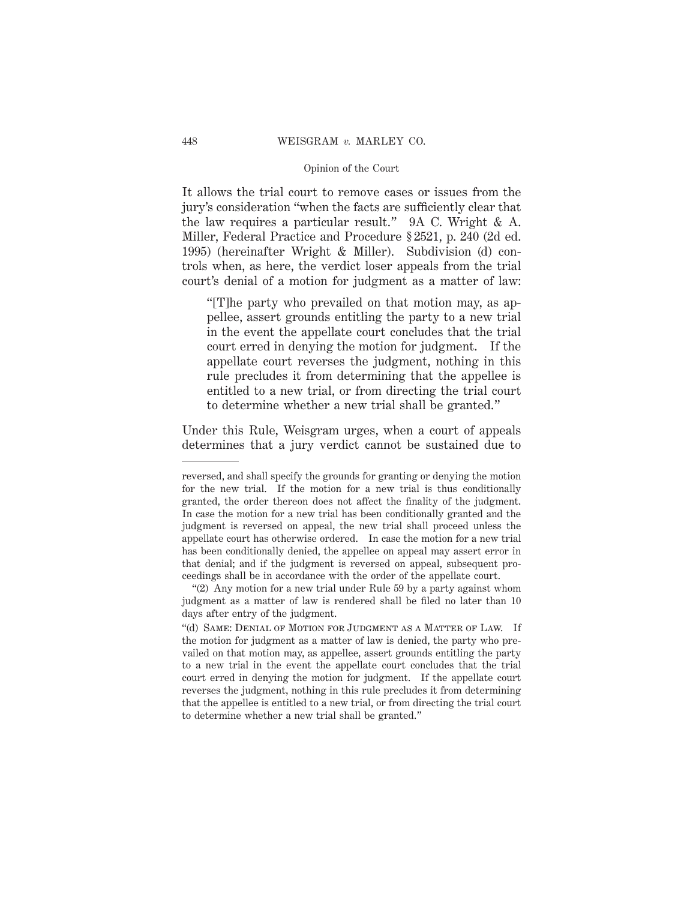It allows the trial court to remove cases or issues from the jury's consideration "when the facts are sufficiently clear that the law requires a particular result." 9A C. Wright & A. Miller, Federal Practice and Procedure § 2521, p. 240 (2d ed. 1995) (hereinafter Wright & Miller). Subdivision (d) controls when, as here, the verdict loser appeals from the trial court's denial of a motion for judgment as a matter of law:

"[T]he party who prevailed on that motion may, as appellee, assert grounds entitling the party to a new trial in the event the appellate court concludes that the trial court erred in denying the motion for judgment. If the appellate court reverses the judgment, nothing in this rule precludes it from determining that the appellee is entitled to a new trial, or from directing the trial court to determine whether a new trial shall be granted."

Under this Rule, Weisgram urges, when a court of appeals determines that a jury verdict cannot be sustained due to

reversed, and shall specify the grounds for granting or denying the motion for the new trial. If the motion for a new trial is thus conditionally granted, the order thereon does not affect the finality of the judgment. In case the motion for a new trial has been conditionally granted and the judgment is reversed on appeal, the new trial shall proceed unless the appellate court has otherwise ordered. In case the motion for a new trial has been conditionally denied, the appellee on appeal may assert error in that denial; and if the judgment is reversed on appeal, subsequent proceedings shall be in accordance with the order of the appellate court.

<sup>&</sup>quot;(2) Any motion for a new trial under Rule 59 by a party against whom judgment as a matter of law is rendered shall be filed no later than 10 days after entry of the judgment.

<sup>&</sup>quot;(d) Same: Denial of Motion for Judgment as a Matter of Law. If the motion for judgment as a matter of law is denied, the party who prevailed on that motion may, as appellee, assert grounds entitling the party to a new trial in the event the appellate court concludes that the trial court erred in denying the motion for judgment. If the appellate court reverses the judgment, nothing in this rule precludes it from determining that the appellee is entitled to a new trial, or from directing the trial court to determine whether a new trial shall be granted."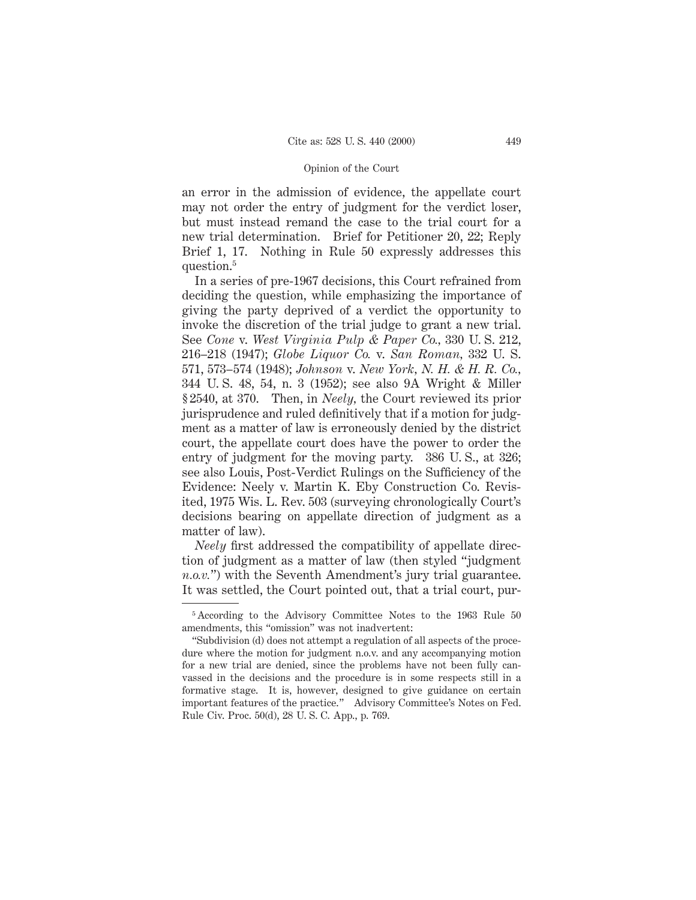an error in the admission of evidence, the appellate court may not order the entry of judgment for the verdict loser, but must instead remand the case to the trial court for a new trial determination. Brief for Petitioner 20, 22; Reply Brief 1, 17. Nothing in Rule 50 expressly addresses this question.5

In a series of pre-1967 decisions, this Court refrained from deciding the question, while emphasizing the importance of giving the party deprived of a verdict the opportunity to invoke the discretion of the trial judge to grant a new trial. See *Cone* v. *West Virginia Pulp & Paper Co.,* 330 U. S. 212, 216–218 (1947); *Globe Liquor Co.* v. *San Roman,* 332 U. S. 571, 573–574 (1948); *Johnson* v. *New York, N. H. & H. R. Co.,* 344 U. S. 48, 54, n. 3 (1952); see also 9A Wright & Miller § 2540, at 370. Then, in *Neely,* the Court reviewed its prior jurisprudence and ruled definitively that if a motion for judgment as a matter of law is erroneously denied by the district court, the appellate court does have the power to order the entry of judgment for the moving party. 386 U. S., at 326; see also Louis, Post-Verdict Rulings on the Sufficiency of the Evidence: Neely v. Martin K. Eby Construction Co. Revisited, 1975 Wis. L. Rev. 503 (surveying chronologically Court's decisions bearing on appellate direction of judgment as a matter of law).

*Neely* first addressed the compatibility of appellate direction of judgment as a matter of law (then styled "judgment *n.o.v.*") with the Seventh Amendment's jury trial guarantee. It was settled, the Court pointed out, that a trial court, pur-

<sup>&</sup>lt;sup>5</sup> According to the Advisory Committee Notes to the 1963 Rule 50 amendments, this "omission" was not inadvertent:

<sup>&</sup>quot;Subdivision (d) does not attempt a regulation of all aspects of the procedure where the motion for judgment n.o.v. and any accompanying motion for a new trial are denied, since the problems have not been fully canvassed in the decisions and the procedure is in some respects still in a formative stage. It is, however, designed to give guidance on certain important features of the practice." Advisory Committee's Notes on Fed. Rule Civ. Proc. 50(d), 28 U. S. C. App., p. 769.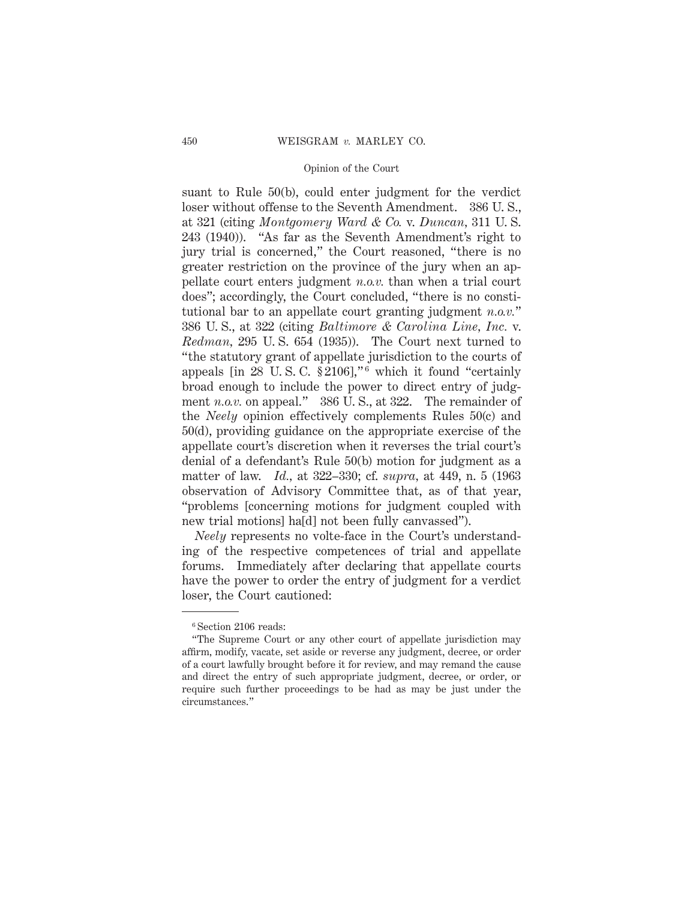suant to Rule 50(b), could enter judgment for the verdict loser without offense to the Seventh Amendment. 386 U. S., at 321 (citing *Montgomery Ward & Co.* v. *Duncan,* 311 U. S. 243 (1940)). "As far as the Seventh Amendment's right to jury trial is concerned," the Court reasoned, "there is no greater restriction on the province of the jury when an appellate court enters judgment *n.o.v.* than when a trial court does"; accordingly, the Court concluded, "there is no constitutional bar to an appellate court granting judgment *n.o.v.*" 386 U. S., at 322 (citing *Baltimore & Carolina Line, Inc.* v. *Redman,* 295 U. S. 654 (1935)). The Court next turned to "the statutory grant of appellate jurisdiction to the courts of appeals [in 28 U.S.C.  $\S2106$ ],"<sup>6</sup> which it found "certainly broad enough to include the power to direct entry of judgment *n.o.v.* on appeal." 386 U.S., at 322. The remainder of the *Neely* opinion effectively complements Rules 50(c) and 50(d), providing guidance on the appropriate exercise of the appellate court's discretion when it reverses the trial court's denial of a defendant's Rule 50(b) motion for judgment as a matter of law. *Id.,* at 322–330; cf. *supra,* at 449, n. 5 (1963 observation of Advisory Committee that, as of that year, "problems [concerning motions for judgment coupled with new trial motions] ha[d] not been fully canvassed").

*Neely* represents no volte-face in the Court's understanding of the respective competences of trial and appellate forums. Immediately after declaring that appellate courts have the power to order the entry of judgment for a verdict loser, the Court cautioned:

<sup>6</sup> Section 2106 reads:

<sup>&</sup>quot;The Supreme Court or any other court of appellate jurisdiction may affirm, modify, vacate, set aside or reverse any judgment, decree, or order of a court lawfully brought before it for review, and may remand the cause and direct the entry of such appropriate judgment, decree, or order, or require such further proceedings to be had as may be just under the circumstances."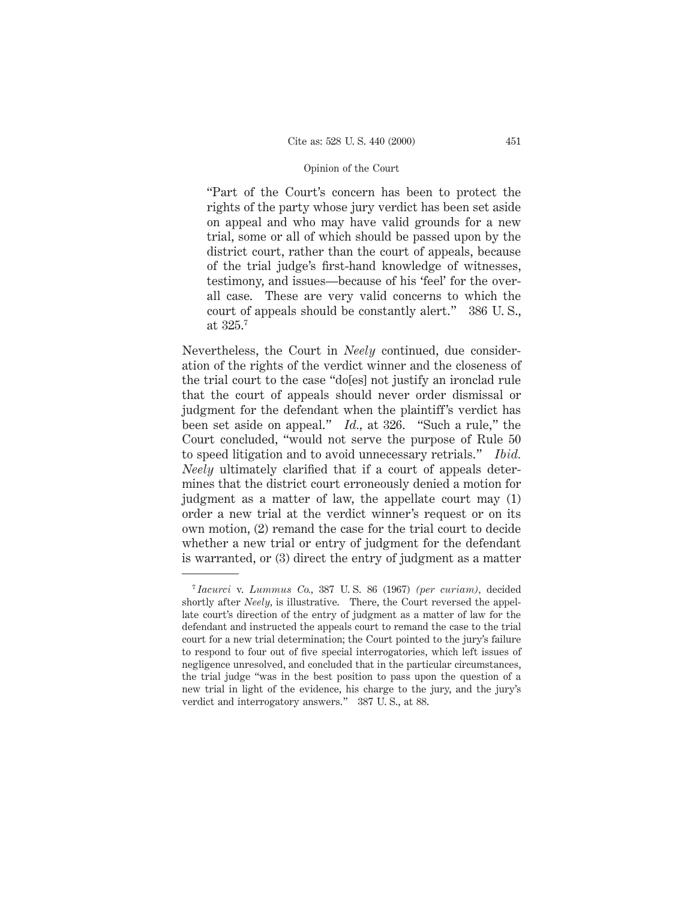"Part of the Court's concern has been to protect the rights of the party whose jury verdict has been set aside on appeal and who may have valid grounds for a new trial, some or all of which should be passed upon by the district court, rather than the court of appeals, because of the trial judge's first-hand knowledge of witnesses, testimony, and issues—because of his 'feel' for the overall case. These are very valid concerns to which the court of appeals should be constantly alert." 386 U. S., at 325.7

Nevertheless, the Court in *Neely* continued, due consideration of the rights of the verdict winner and the closeness of the trial court to the case "do[es] not justify an ironclad rule that the court of appeals should never order dismissal or judgment for the defendant when the plaintiff's verdict has been set aside on appeal." *Id.,* at 326. "Such a rule," the Court concluded, "would not serve the purpose of Rule 50 to speed litigation and to avoid unnecessary retrials." *Ibid. Neely* ultimately clarified that if a court of appeals determines that the district court erroneously denied a motion for judgment as a matter of law, the appellate court may (1) order a new trial at the verdict winner's request or on its own motion, (2) remand the case for the trial court to decide whether a new trial or entry of judgment for the defendant is warranted, or (3) direct the entry of judgment as a matter

<sup>7</sup> *Iacurci* v. *Lummus Co.,* 387 U. S. 86 (1967) *(per curiam),* decided shortly after *Neely,* is illustrative. There, the Court reversed the appellate court's direction of the entry of judgment as a matter of law for the defendant and instructed the appeals court to remand the case to the trial court for a new trial determination; the Court pointed to the jury's failure to respond to four out of five special interrogatories, which left issues of negligence unresolved, and concluded that in the particular circumstances, the trial judge "was in the best position to pass upon the question of a new trial in light of the evidence, his charge to the jury, and the jury's verdict and interrogatory answers." 387 U. S., at 88.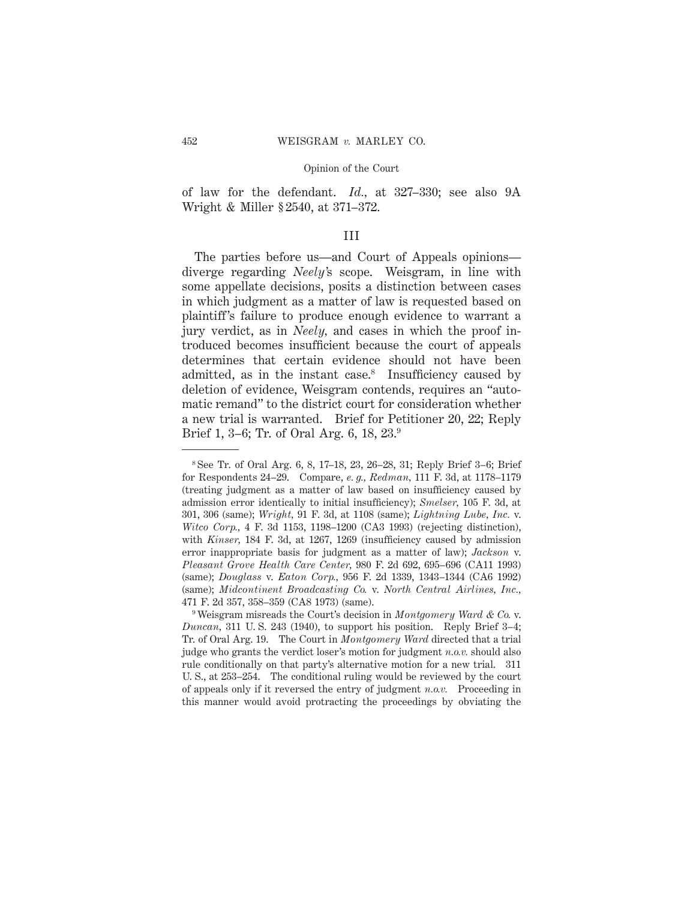of law for the defendant. *Id.,* at 327–330; see also 9A Wright & Miller § 2540, at 371–372.

## III

The parties before us—and Court of Appeals opinions diverge regarding *Neely'*s scope. Weisgram, in line with some appellate decisions, posits a distinction between cases in which judgment as a matter of law is requested based on plaintiff's failure to produce enough evidence to warrant a jury verdict, as in *Neely,* and cases in which the proof introduced becomes insufficient because the court of appeals determines that certain evidence should not have been admitted, as in the instant case.<sup>8</sup> Insufficiency caused by deletion of evidence, Weisgram contends, requires an "automatic remand" to the district court for consideration whether a new trial is warranted. Brief for Petitioner 20, 22; Reply Brief 1, 3–6; Tr. of Oral Arg. 6, 18, 23.9

<sup>8</sup> See Tr. of Oral Arg. 6, 8, 17–18, 23, 26–28, 31; Reply Brief 3–6; Brief for Respondents 24–29. Compare, *e. g., Redman,* 111 F. 3d, at 1178–1179 (treating judgment as a matter of law based on insufficiency caused by admission error identically to initial insufficiency); *Smelser,* 105 F. 3d, at 301, 306 (same); *Wright,* 91 F. 3d, at 1108 (same); *Lightning Lube, Inc.* v. *Witco Corp.,* 4 F. 3d 1153, 1198–1200 (CA3 1993) (rejecting distinction), with *Kinser,* 184 F. 3d, at 1267, 1269 (insufficiency caused by admission error inappropriate basis for judgment as a matter of law); *Jackson* v. *Pleasant Grove Health Care Center,* 980 F. 2d 692, 695–696 (CA11 1993) (same); *Douglass* v. *Eaton Corp.,* 956 F. 2d 1339, 1343–1344 (CA6 1992) (same); *Midcontinent Broadcasting Co.* v. *North Central Airlines, Inc.,* 471 F. 2d 357, 358–359 (CA8 1973) (same).

<sup>9</sup> Weisgram misreads the Court's decision in *Montgomery Ward & Co.* v. *Duncan,* 311 U. S. 243 (1940), to support his position. Reply Brief 3–4; Tr. of Oral Arg. 19. The Court in *Montgomery Ward* directed that a trial judge who grants the verdict loser's motion for judgment *n.o.v.* should also rule conditionally on that party's alternative motion for a new trial. 311 U. S., at 253–254. The conditional ruling would be reviewed by the court of appeals only if it reversed the entry of judgment *n.o.v.* Proceeding in this manner would avoid protracting the proceedings by obviating the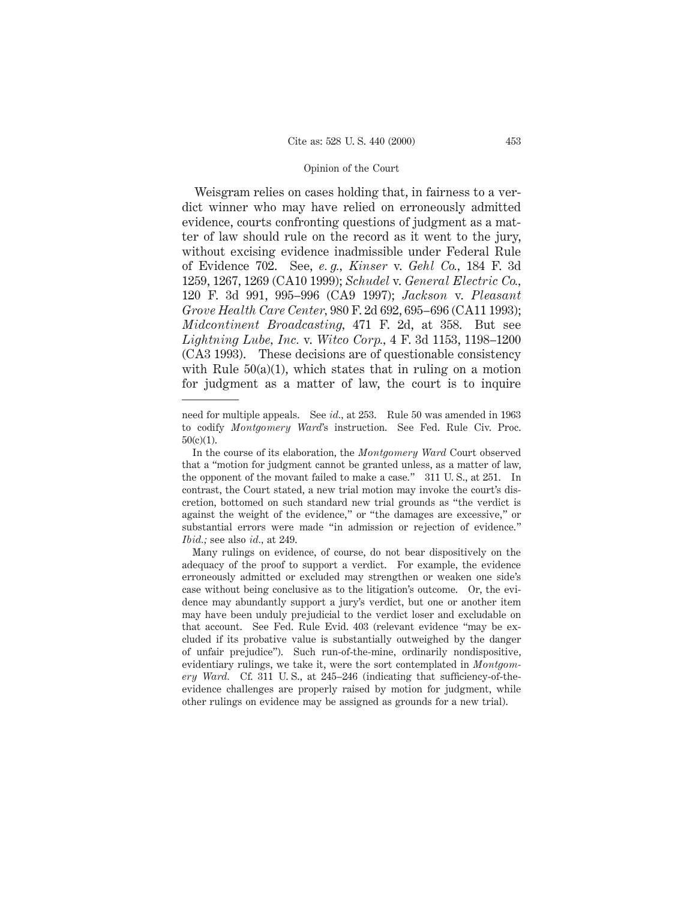Weisgram relies on cases holding that, in fairness to a verdict winner who may have relied on erroneously admitted evidence, courts confronting questions of judgment as a matter of law should rule on the record as it went to the jury, without excising evidence inadmissible under Federal Rule of Evidence 702. See, *e. g., Kinser* v. *Gehl Co.,* 184 F. 3d 1259, 1267, 1269 (CA10 1999); *Schudel* v. *General Electric Co.,* 120 F. 3d 991, 995–996 (CA9 1997); *Jackson* v. *Pleasant Grove Health Care Center,* 980 F. 2d 692, 695–696 (CA11 1993); *Midcontinent Broadcasting,* 471 F. 2d, at 358. But see *Lightning Lube, Inc.* v. *Witco Corp.,* 4 F. 3d 1153, 1198–1200 (CA3 1993). These decisions are of questionable consistency with Rule  $50(a)(1)$ , which states that in ruling on a motion for judgment as a matter of law, the court is to inquire

need for multiple appeals. See *id.,* at 253. Rule 50 was amended in 1963 to codify *Montgomery Ward*'s instruction. See Fed. Rule Civ. Proc.  $50(c)(1)$ .

In the course of its elaboration, the *Montgomery Ward* Court observed that a "motion for judgment cannot be granted unless, as a matter of law, the opponent of the movant failed to make a case." 311 U. S., at 251. In contrast, the Court stated, a new trial motion may invoke the court's discretion, bottomed on such standard new trial grounds as "the verdict is against the weight of the evidence," or "the damages are excessive," or substantial errors were made "in admission or rejection of evidence." *Ibid.;* see also *id.,* at 249.

Many rulings on evidence, of course, do not bear dispositively on the adequacy of the proof to support a verdict. For example, the evidence erroneously admitted or excluded may strengthen or weaken one side's case without being conclusive as to the litigation's outcome. Or, the evidence may abundantly support a jury's verdict, but one or another item may have been unduly prejudicial to the verdict loser and excludable on that account. See Fed. Rule Evid. 403 (relevant evidence "may be excluded if its probative value is substantially outweighed by the danger of unfair prejudice"). Such run-of-the-mine, ordinarily nondispositive, evidentiary rulings, we take it, were the sort contemplated in *Montgomery Ward.* Cf. 311 U. S., at 245–246 (indicating that sufficiency-of-theevidence challenges are properly raised by motion for judgment, while other rulings on evidence may be assigned as grounds for a new trial).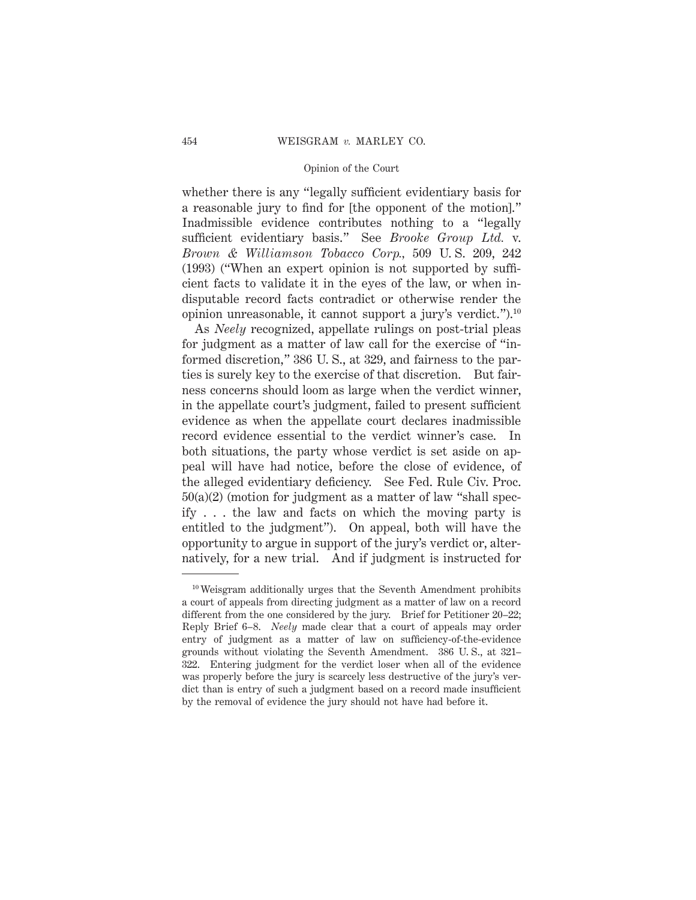whether there is any "legally sufficient evidentiary basis for a reasonable jury to find for [the opponent of the motion]." Inadmissible evidence contributes nothing to a "legally sufficient evidentiary basis." See *Brooke Group Ltd.* v. *Brown & Williamson Tobacco Corp.,* 509 U. S. 209, 242 (1993) ("When an expert opinion is not supported by sufficient facts to validate it in the eyes of the law, or when indisputable record facts contradict or otherwise render the opinion unreasonable, it cannot support a jury's verdict.").10

As *Neely* recognized, appellate rulings on post-trial pleas for judgment as a matter of law call for the exercise of "informed discretion," 386 U. S., at 329, and fairness to the parties is surely key to the exercise of that discretion. But fairness concerns should loom as large when the verdict winner, in the appellate court's judgment, failed to present sufficient evidence as when the appellate court declares inadmissible record evidence essential to the verdict winner's case. In both situations, the party whose verdict is set aside on appeal will have had notice, before the close of evidence, of the alleged evidentiary deficiency. See Fed. Rule Civ. Proc.  $50(a)(2)$  (motion for judgment as a matter of law "shall specify . . . the law and facts on which the moving party is entitled to the judgment"). On appeal, both will have the opportunity to argue in support of the jury's verdict or, alternatively, for a new trial. And if judgment is instructed for

<sup>10</sup> Weisgram additionally urges that the Seventh Amendment prohibits a court of appeals from directing judgment as a matter of law on a record different from the one considered by the jury. Brief for Petitioner 20–22; Reply Brief 6–8. *Neely* made clear that a court of appeals may order entry of judgment as a matter of law on sufficiency-of-the-evidence grounds without violating the Seventh Amendment. 386 U. S., at 321– 322. Entering judgment for the verdict loser when all of the evidence was properly before the jury is scarcely less destructive of the jury's verdict than is entry of such a judgment based on a record made insufficient by the removal of evidence the jury should not have had before it.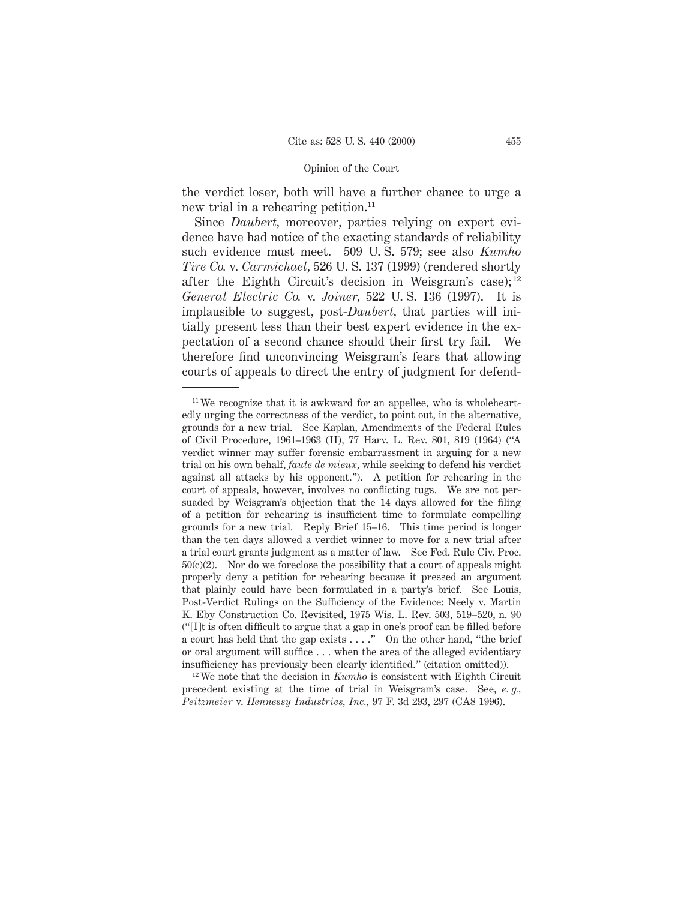the verdict loser, both will have a further chance to urge a new trial in a rehearing petition.<sup>11</sup>

Since *Daubert,* moreover, parties relying on expert evidence have had notice of the exacting standards of reliability such evidence must meet. 509 U. S. 579; see also *Kumho Tire Co.* v. *Carmichael,* 526 U. S. 137 (1999) (rendered shortly after the Eighth Circuit's decision in Weisgram's case); <sup>12</sup> *General Electric Co.* v. *Joiner,* 522 U. S. 136 (1997). It is implausible to suggest, post-*Daubert,* that parties will initially present less than their best expert evidence in the expectation of a second chance should their first try fail. We therefore find unconvincing Weisgram's fears that allowing courts of appeals to direct the entry of judgment for defend-

<sup>12</sup> We note that the decision in *Kumho* is consistent with Eighth Circuit precedent existing at the time of trial in Weisgram's case. See, *e. g., Peitzmeier* v. *Hennessy Industries, Inc.,* 97 F. 3d 293, 297 (CA8 1996).

<sup>11</sup> We recognize that it is awkward for an appellee, who is wholeheartedly urging the correctness of the verdict, to point out, in the alternative, grounds for a new trial. See Kaplan, Amendments of the Federal Rules of Civil Procedure, 1961–1963 (II), 77 Harv. L. Rev. 801, 819 (1964) ("A verdict winner may suffer forensic embarrassment in arguing for a new trial on his own behalf, *faute de mieux,* while seeking to defend his verdict against all attacks by his opponent."). A petition for rehearing in the court of appeals, however, involves no conflicting tugs. We are not persuaded by Weisgram's objection that the 14 days allowed for the filing of a petition for rehearing is insufficient time to formulate compelling grounds for a new trial. Reply Brief 15–16. This time period is longer than the ten days allowed a verdict winner to move for a new trial after a trial court grants judgment as a matter of law. See Fed. Rule Civ. Proc.  $50(c)(2)$ . Nor do we foreclose the possibility that a court of appeals might properly deny a petition for rehearing because it pressed an argument that plainly could have been formulated in a party's brief. See Louis, Post-Verdict Rulings on the Sufficiency of the Evidence: Neely v. Martin K. Eby Construction Co. Revisited, 1975 Wis. L. Rev. 503, 519–520, n. 90 ("[I]t is often difficult to argue that a gap in one's proof can be filled before a court has held that the gap exists . . . ." On the other hand, "the brief or oral argument will suffice... when the area of the alleged evidentiary insufficiency has previously been clearly identified." (citation omitted)).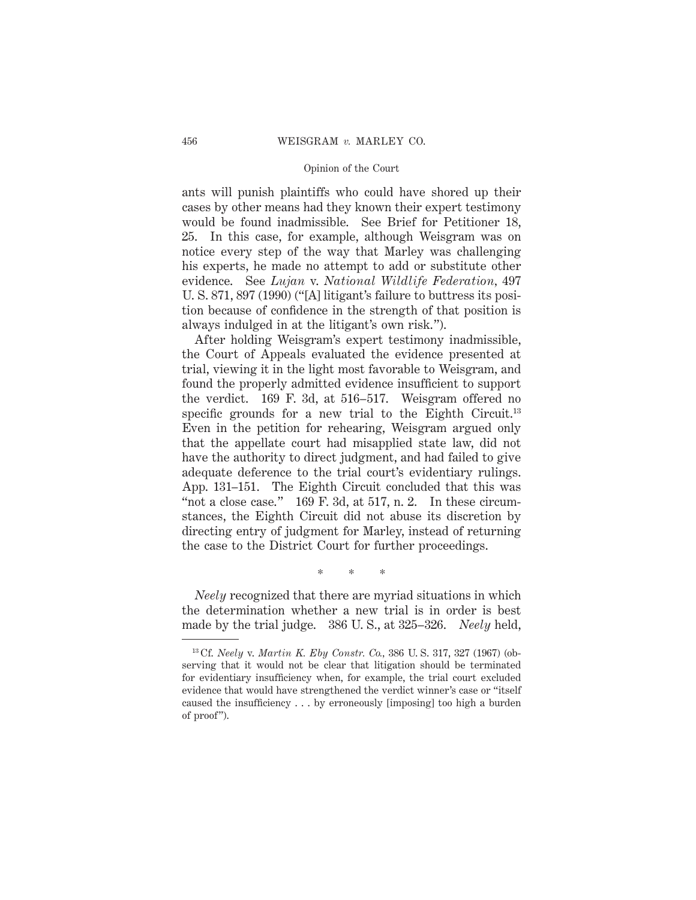ants will punish plaintiffs who could have shored up their cases by other means had they known their expert testimony would be found inadmissible. See Brief for Petitioner 18, 25. In this case, for example, although Weisgram was on notice every step of the way that Marley was challenging his experts, he made no attempt to add or substitute other evidence. See *Lujan* v. *National Wildlife Federation,* 497 U. S. 871, 897 (1990) ("[A] litigant's failure to buttress its position because of confidence in the strength of that position is always indulged in at the litigant's own risk.").

After holding Weisgram's expert testimony inadmissible, the Court of Appeals evaluated the evidence presented at trial, viewing it in the light most favorable to Weisgram, and found the properly admitted evidence insufficient to support the verdict. 169 F. 3d, at 516–517. Weisgram offered no specific grounds for a new trial to the Eighth Circuit.<sup>13</sup> Even in the petition for rehearing, Weisgram argued only that the appellate court had misapplied state law, did not have the authority to direct judgment, and had failed to give adequate deference to the trial court's evidentiary rulings. App. 131–151. The Eighth Circuit concluded that this was "not a close case."  $169$  F. 3d, at 517, n. 2. In these circumstances, the Eighth Circuit did not abuse its discretion by directing entry of judgment for Marley, instead of returning the case to the District Court for further proceedings.

\*\*\*

*Neely* recognized that there are myriad situations in which the determination whether a new trial is in order is best made by the trial judge. 386 U. S., at 325–326. *Neely* held,

<sup>13</sup> Cf. *Neely* v. *Martin K. Eby Constr. Co.,* 386 U. S. 317, 327 (1967) (observing that it would not be clear that litigation should be terminated for evidentiary insufficiency when, for example, the trial court excluded evidence that would have strengthened the verdict winner's case or "itself caused the insufficiency . . . by erroneously [imposing] too high a burden of proof").